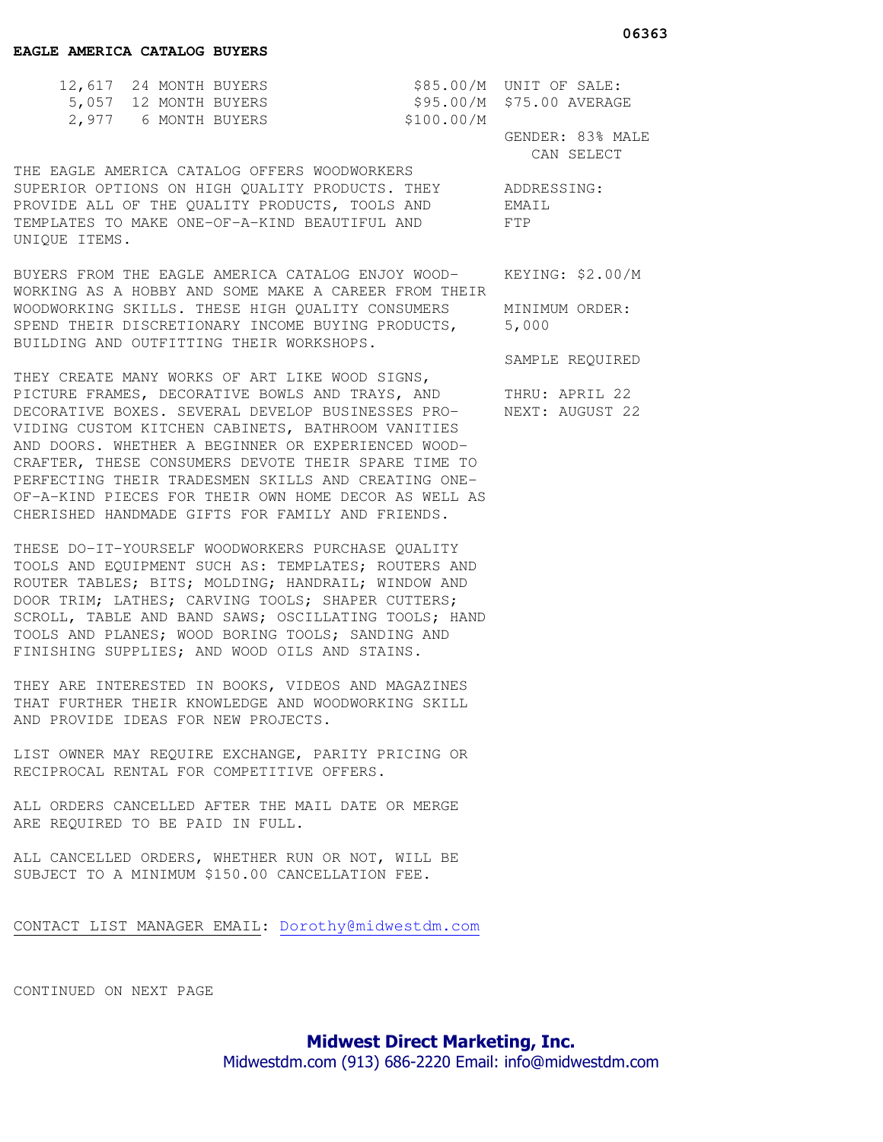| 12,617 24 MONTH BUYERS |            | $$85.00/M$ UNIT OF SALE:  |
|------------------------|------------|---------------------------|
| 5,057 12 MONTH BUYERS  |            | \$95.00/M \$75.00 AVERAGE |
| 2,977 6 MONTH BUYERS   | \$100.00/M |                           |

 GENDER: 83% MALE CAN SELECT

SAMPLE REQUIRED

THE EAGLE AMERICA CATALOG OFFERS WOODWORKERS SUPERIOR OPTIONS ON HIGH QUALITY PRODUCTS. THEY ADDRESSING: PROVIDE ALL OF THE QUALITY PRODUCTS, TOOLS AND EMAIL TEMPLATES TO MAKE ONE-OF-A-KIND BEAUTIFUL AND FTP UNIQUE ITEMS.

BUYERS FROM THE EAGLE AMERICA CATALOG ENJOY WOOD- KEYING: \$2.00/M WORKING AS A HOBBY AND SOME MAKE A CAREER FROM THEIR WOODWORKING SKILLS. THESE HIGH QUALITY CONSUMERS MINIMUM ORDER: SPEND THEIR DISCRETIONARY INCOME BUYING PRODUCTS, 5,000 BUILDING AND OUTFITTING THEIR WORKSHOPS.

THEY CREATE MANY WORKS OF ART LIKE WOOD SIGNS, PICTURE FRAMES, DECORATIVE BOWLS AND TRAYS, AND THRU: APRIL 22 DECORATIVE BOXES. SEVERAL DEVELOP BUSINESSES PRO- NEXT: AUGUST 22 VIDING CUSTOM KITCHEN CABINETS, BATHROOM VANITIES AND DOORS. WHETHER A BEGINNER OR EXPERIENCED WOOD-CRAFTER, THESE CONSUMERS DEVOTE THEIR SPARE TIME TO PERFECTING THEIR TRADESMEN SKILLS AND CREATING ONE-OF-A-KIND PIECES FOR THEIR OWN HOME DECOR AS WELL AS CHERISHED HANDMADE GIFTS FOR FAMILY AND FRIENDS.

THESE DO-IT-YOURSELF WOODWORKERS PURCHASE QUALITY TOOLS AND EQUIPMENT SUCH AS: TEMPLATES; ROUTERS AND ROUTER TABLES; BITS; MOLDING; HANDRAIL; WINDOW AND DOOR TRIM; LATHES; CARVING TOOLS; SHAPER CUTTERS; SCROLL, TABLE AND BAND SAWS; OSCILLATING TOOLS; HAND TOOLS AND PLANES; WOOD BORING TOOLS; SANDING AND FINISHING SUPPLIES; AND WOOD OILS AND STAINS.

THEY ARE INTERESTED IN BOOKS, VIDEOS AND MAGAZINES THAT FURTHER THEIR KNOWLEDGE AND WOODWORKING SKILL AND PROVIDE IDEAS FOR NEW PROJECTS.

LIST OWNER MAY REQUIRE EXCHANGE, PARITY PRICING OR RECIPROCAL RENTAL FOR COMPETITIVE OFFERS.

ALL ORDERS CANCELLED AFTER THE MAIL DATE OR MERGE ARE REQUIRED TO BE PAID IN FULL.

ALL CANCELLED ORDERS, WHETHER RUN OR NOT, WILL BE SUBJECT TO A MINIMUM \$150.00 CANCELLATION FEE.

CONTACT LIST MANAGER EMAIL: Dorothy@midwestdm.com

CONTINUED ON NEXT PAGE

**Midwest Direct Marketing, Inc.**  Midwestdm.com (913) 686-2220 Email: info@midwestdm.com